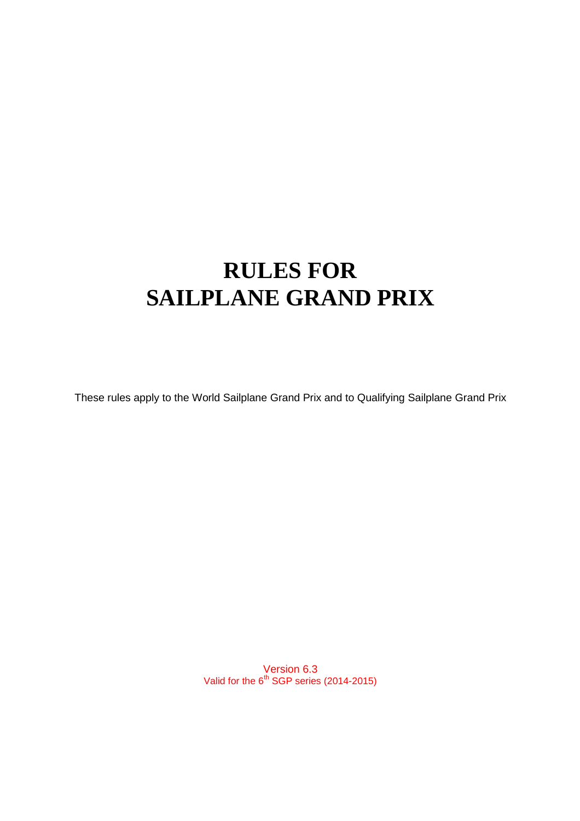# **RULES FOR SAILPLANE GRAND PRIX**

These rules apply to the World Sailplane Grand Prix and to Qualifying Sailplane Grand Prix

Version 6.3 Valid for the  $6^{th}$  SGP series (2014-2015)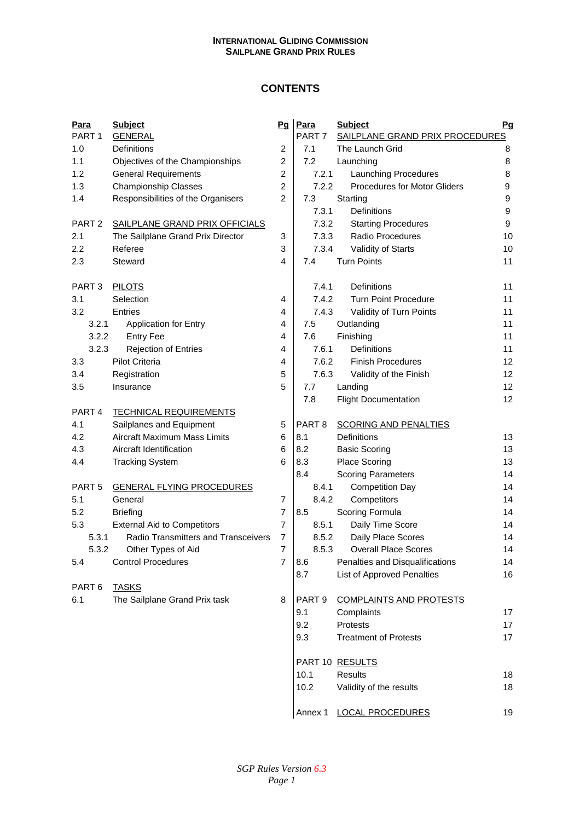# **CONTENTS**

| Para<br>PART <sub>1</sub> | <b>Subject</b><br><b>GENERAL</b>           | Pq             | Para<br>PART <sub>7</sub> | <b>Subject</b><br>SAILPLANE GRAND PRIX PROCEDURES |
|---------------------------|--------------------------------------------|----------------|---------------------------|---------------------------------------------------|
| 1.0                       | Definitions                                | 2              | 7.1                       | The Launch Grid                                   |
| 1.1                       | Objectives of the Championships            | $\overline{2}$ | 7.2                       | Launching                                         |
| 1.2                       | <b>General Requirements</b>                | $\overline{2}$ | 7.2.1                     | <b>Launching Procedures</b>                       |
| 1.3                       | <b>Championship Classes</b>                | $\overline{2}$ | 7.2.2                     | <b>Procedures for Motor Gliders</b>               |
| 1.4                       | Responsibilities of the Organisers         | $\overline{2}$ | 7.3                       | Starting                                          |
|                           |                                            |                | 7.3.1                     | <b>Definitions</b>                                |
| PART <sub>2</sub>         | SAILPLANE GRAND PRIX OFFICIALS             |                | 7.3.2                     | <b>Starting Procedures</b>                        |
| 2.1                       | The Sailplane Grand Prix Director          | 3              | 7.3.3                     | <b>Radio Procedures</b>                           |
| 2.2                       | Referee                                    | 3              | 7.3.4                     | Validity of Starts                                |
| 2.3                       | Steward                                    | 4              | 7.4                       | <b>Turn Points</b>                                |
|                           |                                            |                |                           |                                                   |
| PART <sub>3</sub>         | <b>PILOTS</b>                              |                | 7.4.1                     | Definitions                                       |
| 3.1                       | Selection                                  | 4              | 7.4.2                     | <b>Turn Point Procedure</b>                       |
| 3.2                       | Entries                                    | 4              | 7.4.3                     | Validity of Turn Points                           |
| 3.2.1                     | <b>Application for Entry</b>               | 4              | 7.5                       | Outlanding                                        |
| 3.2.2                     | <b>Entry Fee</b>                           | 4              | 7.6                       | Finishing                                         |
| 3.2.3                     | Rejection of Entries                       | 4              | 7.6.1                     | Definitions                                       |
| 3.3                       | <b>Pilot Criteria</b>                      | 4              | 7.6.2                     | <b>Finish Procedures</b>                          |
| 3.4                       | Registration                               | 5              | 7.6.3                     | Validity of the Finish                            |
| 3.5                       | Insurance                                  | 5              | 7.7                       | Landing                                           |
|                           |                                            |                | 7.8                       | <b>Flight Documentation</b>                       |
| PART <sub>4</sub>         | <b>TECHNICAL REQUIREMENTS</b>              |                |                           |                                                   |
| 4.1                       | Sailplanes and Equipment                   | 5              | PART <sub>8</sub>         | <b>SCORING AND PENALTIES</b>                      |
| 4.2                       | Aircraft Maximum Mass Limits               | 6              | 8.1                       | Definitions                                       |
| 4.3                       | Aircraft Identification                    | 6              | 8.2                       | <b>Basic Scoring</b>                              |
| 4.4                       | <b>Tracking System</b>                     | 6              | 8.3                       | Place Scoring                                     |
|                           |                                            |                | 8.4                       | <b>Scoring Parameters</b>                         |
| PART <sub>5</sub>         | <b>GENERAL FLYING PROCEDURES</b>           |                | 8.4.1                     | <b>Competition Day</b>                            |
| 5.1                       | General                                    | 7              | 8.4.2                     | Competitors                                       |
| 5.2                       | <b>Briefing</b>                            | $\overline{7}$ | 8.5                       | Scoring Formula                                   |
| 5.3                       | <b>External Aid to Competitors</b>         | $\overline{7}$ | 8.5.1                     | Daily Time Score                                  |
| 5.3.1                     | <b>Radio Transmitters and Transceivers</b> | $\overline{7}$ | 8.5.2                     | Daily Place Scores                                |
| 5.3.2                     | Other Types of Aid                         | 7              | 8.5.3                     | <b>Overall Place Scores</b>                       |
| 5.4                       | <b>Control Procedures</b>                  | $\overline{7}$ | 8.6                       | Penalties and Disqualifications                   |
|                           |                                            |                | 8.7                       | List of Approved Penalties                        |
| PART <sub>6</sub>         | <b>TASKS</b>                               |                |                           |                                                   |
| 6.1                       | The Sailplane Grand Prix task              | 8              | PART <sub>9</sub>         | <b>COMPLAINTS AND PROTESTS</b>                    |
|                           |                                            |                | 9.1                       | Complaints                                        |
|                           |                                            |                | 9.2                       | Protests                                          |
|                           |                                            |                | 9.3                       | <b>Treatment of Protests</b>                      |
|                           |                                            |                |                           |                                                   |
|                           |                                            |                |                           | PART 10 RESULTS                                   |
|                           |                                            |                | 10 <sub>1</sub>           | Roculte                                           |

| <u>Para</u><br>PART 1 | <b>Subject</b>                      | Pq             | Para<br>PART <sub>7</sub> | <b>Subject</b><br>SAILPLANE GRAND PRIX PROCEDURES | Pq               |
|-----------------------|-------------------------------------|----------------|---------------------------|---------------------------------------------------|------------------|
| 1.0                   | <b>GENERAL</b><br>Definitions       | $\overline{c}$ | 7.1                       | The Launch Grid                                   | 8                |
| 1.1                   | Objectives of the Championships     | $\overline{c}$ | 7.2                       | Launching                                         | 8                |
| 1.2                   | <b>General Requirements</b>         | $\overline{2}$ | 7.2.1                     | Launching Procedures                              | 8                |
| 1.3                   | <b>Championship Classes</b>         | $\overline{c}$ | 7.2.2                     | <b>Procedures for Motor Gliders</b>               | 9                |
| 1.4                   | Responsibilities of the Organisers  | $\overline{2}$ | 7.3                       | Starting                                          | 9                |
|                       |                                     |                | 7.3.1                     | Definitions                                       | 9                |
| PART <sub>2</sub>     | SAILPLANE GRAND PRIX OFFICIALS      |                | 7.3.2                     | <b>Starting Procedures</b>                        | $\boldsymbol{9}$ |
| 2.1                   | The Sailplane Grand Prix Director   | 3              | 7.3.3                     | Radio Procedures                                  | 10               |
| 2.2                   | Referee                             | 3              | 7.3.4                     | Validity of Starts                                | 10               |
| 2.3                   | Steward                             | 4              | 7.4                       | <b>Turn Points</b>                                | 11               |
|                       |                                     |                |                           |                                                   |                  |
| PART 3                | <b>PILOTS</b>                       |                | 7.4.1                     | Definitions                                       | 11               |
| 3.1                   | Selection                           | 4              | 7.4.2                     | <b>Turn Point Procedure</b>                       | 11               |
| 3.2                   | Entries                             | 4              | 7.4.3                     | Validity of Turn Points                           | 11               |
| 3.2.1                 | <b>Application for Entry</b>        | 4              | 7.5                       | Outlanding                                        | 11               |
| 3.2.2                 | <b>Entry Fee</b>                    | $\overline{4}$ | 7.6                       | Finishing                                         | 11               |
| 3.2.3                 | <b>Rejection of Entries</b>         | 4              | 7.6.1                     | Definitions                                       | 11               |
| 3.3                   | Pilot Criteria                      | 4              | 7.6.2                     | <b>Finish Procedures</b>                          | 12               |
| 3.4                   | Registration                        | 5              | 7.6.3                     | Validity of the Finish                            | 12               |
| 3.5                   | Insurance                           | 5              | 7.7                       | Landing                                           | 12               |
|                       |                                     |                | 7.8                       | <b>Flight Documentation</b>                       | 12               |
| PART <sub>4</sub>     | <b>TECHNICAL REQUIREMENTS</b>       |                |                           |                                                   |                  |
| 4.1                   | Sailplanes and Equipment            | 5              | PART <sub>8</sub>         | <b>SCORING AND PENALTIES</b>                      |                  |
| 4.2                   | Aircraft Maximum Mass Limits        | 6              | 8.1                       | Definitions                                       | 13               |
| 4.3                   | Aircraft Identification             | 6              | 8.2                       | <b>Basic Scoring</b>                              | 13               |
| 4.4                   | <b>Tracking System</b>              | 6              | 8.3                       | Place Scoring                                     | 13               |
|                       |                                     |                | 8.4                       | <b>Scoring Parameters</b>                         | 14               |
| PART 5                | <b>GENERAL FLYING PROCEDURES</b>    |                | 8.4.1                     | <b>Competition Day</b>                            | 14               |
| 5.1                   | General                             | $\overline{7}$ | 8.4.2                     | Competitors                                       | 14               |
| 5.2                   | <b>Briefing</b>                     | $\overline{7}$ | 8.5                       | Scoring Formula                                   | 14               |
| 5.3                   | <b>External Aid to Competitors</b>  | $\overline{7}$ | 8.5.1                     | Daily Time Score                                  | 14               |
| 5.3.1                 | Radio Transmitters and Transceivers | $\overline{7}$ | 8.5.2                     | Daily Place Scores                                | 14               |
| 5.3.2                 | Other Types of Aid                  | 7              | 8.5.3                     | <b>Overall Place Scores</b>                       | 14               |
| 5.4                   | <b>Control Procedures</b>           | $\overline{7}$ | 8.6                       | Penalties and Disqualifications                   | 14               |
|                       |                                     |                | 8.7                       | <b>List of Approved Penalties</b>                 | 16               |
| PART 6                | <b>TASKS</b>                        |                |                           |                                                   |                  |
| 6.1                   | The Sailplane Grand Prix task       | 8              | PART <sub>9</sub>         | <b>COMPLAINTS AND PROTESTS</b>                    |                  |
|                       |                                     |                | 9.1                       | Complaints                                        | 17               |
|                       |                                     |                | 9.2                       | Protests                                          | 17               |
|                       |                                     |                | 9.3                       | <b>Treatment of Protests</b>                      | 17               |
|                       |                                     |                |                           | PART 10 RESULTS                                   |                  |
|                       |                                     |                | 10.1                      | <b>Results</b>                                    | 18               |
|                       |                                     |                | 10.2                      | Validity of the results                           | 18               |
|                       |                                     |                | Annex 1                   | <b>LOCAL PROCEDURES</b>                           | 19               |
|                       |                                     |                |                           |                                                   |                  |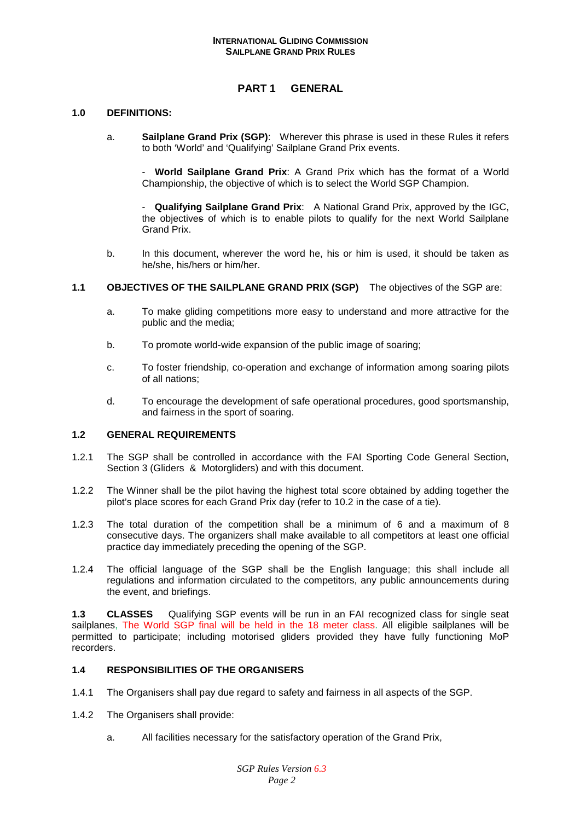# **PART 1 GENERAL**

#### **1.0 DEFINITIONS:**

a. **Sailplane Grand Prix (SGP)**: Wherever this phrase is used in these Rules it refers to both 'World' and 'Qualifying' Sailplane Grand Prix events.

 - **World Sailplane Grand Prix**: A Grand Prix which has the format of a World Championship, the objective of which is to select the World SGP Champion.

 - **Qualifying Sailplane Grand Prix**: A National Grand Prix, approved by the IGC, the objectives of which is to enable pilots to qualify for the next World Sailplane Grand Prix.

- b. In this document, wherever the word he, his or him is used, it should be taken as he/she, his/hers or him/her.
- **1.1 OBJECTIVES OF THE SAILPLANE GRAND PRIX (SGP)** The objectives of the SGP are:
	- a. To make gliding competitions more easy to understand and more attractive for the public and the media;
	- b. To promote world-wide expansion of the public image of soaring;
	- c. To foster friendship, co-operation and exchange of information among soaring pilots of all nations;
	- d. To encourage the development of safe operational procedures, good sportsmanship, and fairness in the sport of soaring.

## **1.2 GENERAL REQUIREMENTS**

- 1.2.1 The SGP shall be controlled in accordance with the FAI Sporting Code General Section, Section 3 (Gliders & Motorgliders) and with this document.
- 1.2.2 The Winner shall be the pilot having the highest total score obtained by adding together the pilot's place scores for each Grand Prix day (refer to 10.2 in the case of a tie).
- 1.2.3 The total duration of the competition shall be a minimum of 6 and a maximum of 8 consecutive days. The organizers shall make available to all competitors at least one official practice day immediately preceding the opening of the SGP.
- 1.2.4 The official language of the SGP shall be the English language; this shall include all regulations and information circulated to the competitors, any public announcements during the event, and briefings.

**1.3 CLASSES** Qualifying SGP events will be run in an FAI recognized class for single seat sailplanes, The World SGP final will be held in the 18 meter class. All eligible sailplanes will be permitted to participate; including motorised gliders provided they have fully functioning MoP recorders.

## **1.4 RESPONSIBILITIES OF THE ORGANISERS**

- 1.4.1 The Organisers shall pay due regard to safety and fairness in all aspects of the SGP.
- 1.4.2 The Organisers shall provide:
	- a. All facilities necessary for the satisfactory operation of the Grand Prix,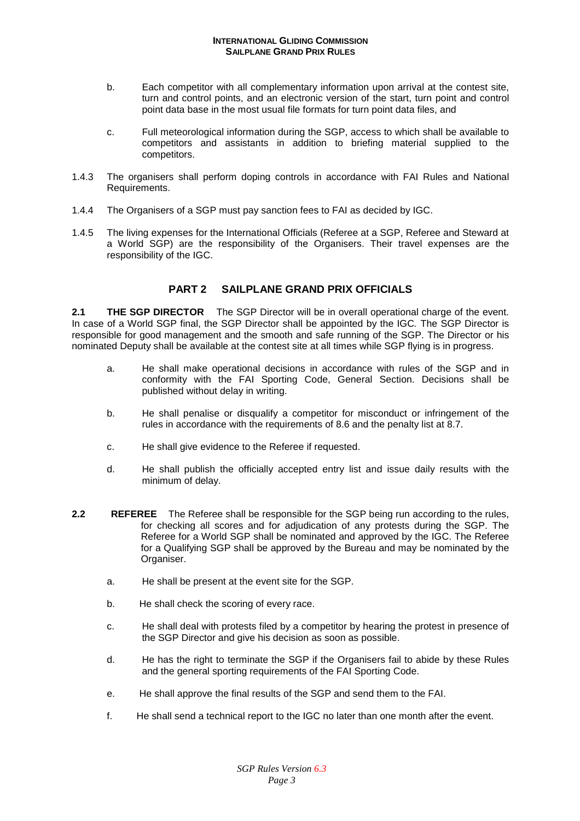- b. Each competitor with all complementary information upon arrival at the contest site, turn and control points, and an electronic version of the start, turn point and control point data base in the most usual file formats for turn point data files, and
- c. Full meteorological information during the SGP, access to which shall be available to competitors and assistants in addition to briefing material supplied to the competitors.
- 1.4.3 The organisers shall perform doping controls in accordance with FAI Rules and National Requirements.
- 1.4.4 The Organisers of a SGP must pay sanction fees to FAI as decided by IGC.
- 1.4.5 The living expenses for the International Officials (Referee at a SGP, Referee and Steward at a World SGP) are the responsibility of the Organisers. Their travel expenses are the responsibility of the IGC.

# **PART 2 SAILPLANE GRAND PRIX OFFICIALS**

**2.1 THE SGP DIRECTOR** The SGP Director will be in overall operational charge of the event. In case of a World SGP final, the SGP Director shall be appointed by the IGC. The SGP Director is responsible for good management and the smooth and safe running of the SGP. The Director or his nominated Deputy shall be available at the contest site at all times while SGP flying is in progress.

- a. He shall make operational decisions in accordance with rules of the SGP and in conformity with the FAI Sporting Code, General Section. Decisions shall be published without delay in writing.
- b. He shall penalise or disqualify a competitor for misconduct or infringement of the rules in accordance with the requirements of 8.6 and the penalty list at 8.7.
- c. He shall give evidence to the Referee if requested.
- d. He shall publish the officially accepted entry list and issue daily results with the minimum of delay.
- **2.2 REFEREE** The Referee shall be responsible for the SGP being run according to the rules, for checking all scores and for adjudication of any protests during the SGP. The Referee for a World SGP shall be nominated and approved by the IGC. The Referee for a Qualifying SGP shall be approved by the Bureau and may be nominated by the Organiser.
	- a. He shall be present at the event site for the SGP.
	- b. He shall check the scoring of every race.
	- c. He shall deal with protests filed by a competitor by hearing the protest in presence of the SGP Director and give his decision as soon as possible.
	- d. He has the right to terminate the SGP if the Organisers fail to abide by these Rules and the general sporting requirements of the FAI Sporting Code.
	- e. He shall approve the final results of the SGP and send them to the FAI.
	- f. He shall send a technical report to the IGC no later than one month after the event.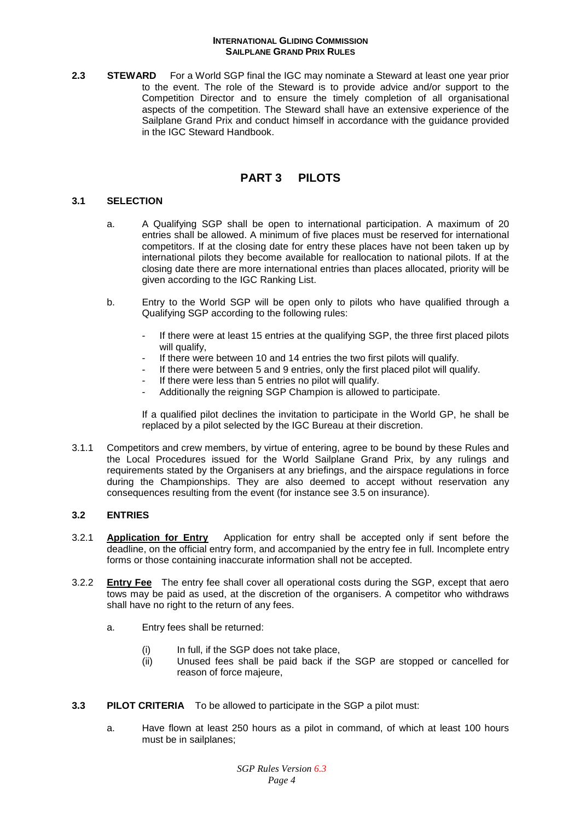**2.3 STEWARD** For a World SGP final the IGC may nominate a Steward at least one year prior to the event. The role of the Steward is to provide advice and/or support to the Competition Director and to ensure the timely completion of all organisational aspects of the competition. The Steward shall have an extensive experience of the Sailplane Grand Prix and conduct himself in accordance with the guidance provided in the IGC Steward Handbook.

# **PART 3 PILOTS**

## **3.1 SELECTION**

- a. A Qualifying SGP shall be open to international participation. A maximum of 20 entries shall be allowed. A minimum of five places must be reserved for international competitors. If at the closing date for entry these places have not been taken up by international pilots they become available for reallocation to national pilots. If at the closing date there are more international entries than places allocated, priority will be given according to the IGC Ranking List.
- b. Entry to the World SGP will be open only to pilots who have qualified through a Qualifying SGP according to the following rules:
	- If there were at least 15 entries at the qualifying SGP, the three first placed pilots will qualify.
	- If there were between 10 and 14 entries the two first pilots will qualify.
	- If there were between 5 and 9 entries, only the first placed pilot will qualify.
	- If there were less than 5 entries no pilot will qualify.
	- Additionally the reigning SGP Champion is allowed to participate.

If a qualified pilot declines the invitation to participate in the World GP, he shall be replaced by a pilot selected by the IGC Bureau at their discretion.

3.1.1 Competitors and crew members, by virtue of entering, agree to be bound by these Rules and the Local Procedures issued for the World Sailplane Grand Prix, by any rulings and requirements stated by the Organisers at any briefings, and the airspace regulations in force during the Championships. They are also deemed to accept without reservation any consequences resulting from the event (for instance see 3.5 on insurance).

# **3.2 ENTRIES**

- 3.2.1 **Application for Entry** Application for entry shall be accepted only if sent before the deadline, on the official entry form, and accompanied by the entry fee in full. Incomplete entry forms or those containing inaccurate information shall not be accepted.
- 3.2.2 **Entry Fee** The entry fee shall cover all operational costs during the SGP, except that aero tows may be paid as used, at the discretion of the organisers. A competitor who withdraws shall have no right to the return of any fees.
	- a. Entry fees shall be returned:
		- (i) In full, if the SGP does not take place,
		- (ii) Unused fees shall be paid back if the SGP are stopped or cancelled for reason of force majeure,
- **3.3 PILOT CRITERIA** To be allowed to participate in the SGP a pilot must:
	- a. Have flown at least 250 hours as a pilot in command, of which at least 100 hours must be in sailplanes;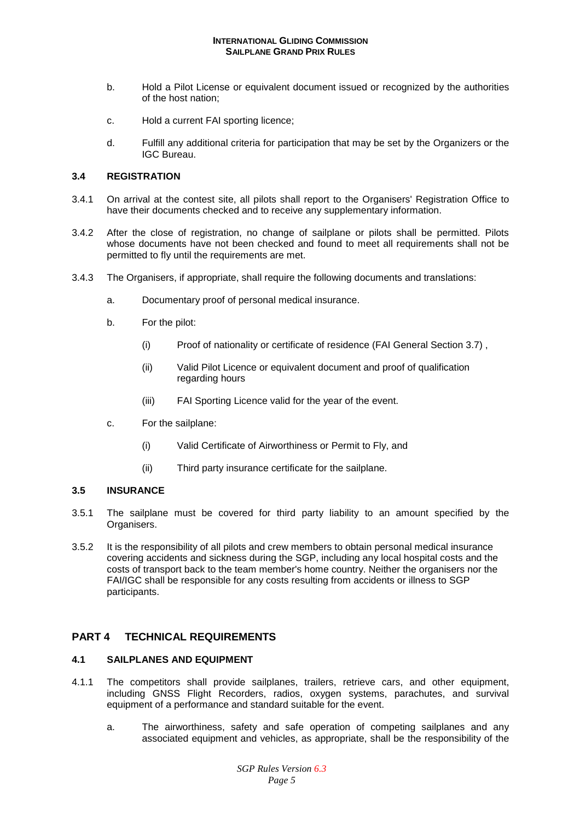- b. Hold a Pilot License or equivalent document issued or recognized by the authorities of the host nation;
- c. Hold a current FAI sporting licence;
- d. Fulfill any additional criteria for participation that may be set by the Organizers or the IGC Bureau.

## **3.4 REGISTRATION**

- 3.4.1 On arrival at the contest site, all pilots shall report to the Organisers' Registration Office to have their documents checked and to receive any supplementary information.
- 3.4.2 After the close of registration, no change of sailplane or pilots shall be permitted. Pilots whose documents have not been checked and found to meet all requirements shall not be permitted to fly until the requirements are met.
- 3.4.3 The Organisers, if appropriate, shall require the following documents and translations:
	- a. Documentary proof of personal medical insurance.
	- b. For the pilot:
		- (i) Proof of nationality or certificate of residence (FAI General Section 3.7) ,
		- (ii) Valid Pilot Licence or equivalent document and proof of qualification regarding hours
		- (iii) FAI Sporting Licence valid for the year of the event.
	- c. For the sailplane:
		- (i) Valid Certificate of Airworthiness or Permit to Fly, and
		- (ii) Third party insurance certificate for the sailplane.

# **3.5 INSURANCE**

- 3.5.1 The sailplane must be covered for third party liability to an amount specified by the Organisers.
- 3.5.2 It is the responsibility of all pilots and crew members to obtain personal medical insurance covering accidents and sickness during the SGP, including any local hospital costs and the costs of transport back to the team member's home country. Neither the organisers nor the FAI/IGC shall be responsible for any costs resulting from accidents or illness to SGP participants.

# **PART 4 TECHNICAL REQUIREMENTS**

## **4.1 SAILPLANES AND EQUIPMENT**

- 4.1.1 The competitors shall provide sailplanes, trailers, retrieve cars, and other equipment, including GNSS Flight Recorders, radios, oxygen systems, parachutes, and survival equipment of a performance and standard suitable for the event.
	- a. The airworthiness, safety and safe operation of competing sailplanes and any associated equipment and vehicles, as appropriate, shall be the responsibility of the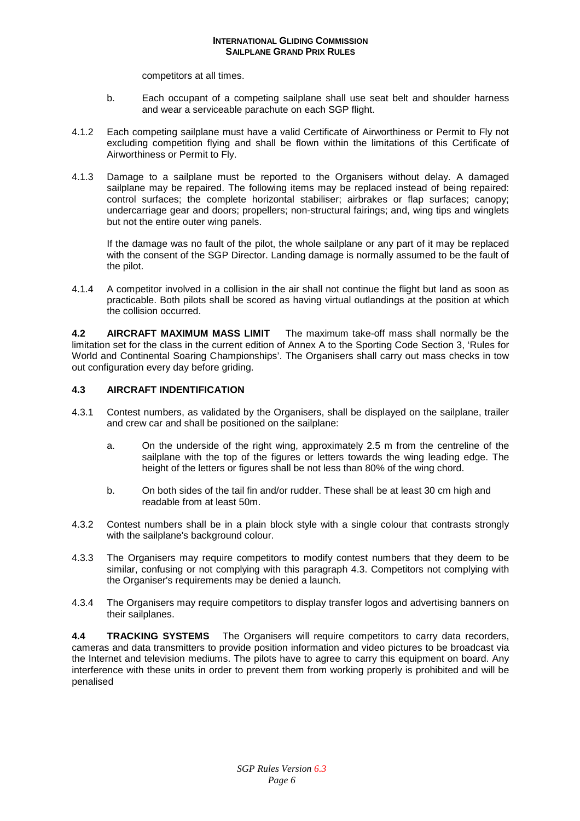competitors at all times.

- b. Each occupant of a competing sailplane shall use seat belt and shoulder harness and wear a serviceable parachute on each SGP flight.
- 4.1.2 Each competing sailplane must have a valid Certificate of Airworthiness or Permit to Fly not excluding competition flying and shall be flown within the limitations of this Certificate of Airworthiness or Permit to Fly.
- 4.1.3 Damage to a sailplane must be reported to the Organisers without delay. A damaged sailplane may be repaired. The following items may be replaced instead of being repaired: control surfaces; the complete horizontal stabiliser; airbrakes or flap surfaces; canopy; undercarriage gear and doors; propellers; non-structural fairings; and, wing tips and winglets but not the entire outer wing panels.

If the damage was no fault of the pilot, the whole sailplane or any part of it may be replaced with the consent of the SGP Director. Landing damage is normally assumed to be the fault of the pilot.

4.1.4 A competitor involved in a collision in the air shall not continue the flight but land as soon as practicable. Both pilots shall be scored as having virtual outlandings at the position at which the collision occurred.

**4.2 AIRCRAFT MAXIMUM MASS LIMIT** The maximum take-off mass shall normally be the limitation set for the class in the current edition of Annex A to the Sporting Code Section 3, 'Rules for World and Continental Soaring Championships'. The Organisers shall carry out mass checks in tow out configuration every day before griding.

# **4.3 AIRCRAFT INDENTIFICATION**

- 4.3.1 Contest numbers, as validated by the Organisers, shall be displayed on the sailplane, trailer and crew car and shall be positioned on the sailplane:
	- a. On the underside of the right wing, approximately 2.5 m from the centreline of the sailplane with the top of the figures or letters towards the wing leading edge. The height of the letters or figures shall be not less than 80% of the wing chord.
	- b. On both sides of the tail fin and/or rudder. These shall be at least 30 cm high and readable from at least 50m.
- 4.3.2 Contest numbers shall be in a plain block style with a single colour that contrasts strongly with the sailplane's background colour.
- 4.3.3 The Organisers may require competitors to modify contest numbers that they deem to be similar, confusing or not complying with this paragraph 4.3. Competitors not complying with the Organiser's requirements may be denied a launch.
- 4.3.4 The Organisers may require competitors to display transfer logos and advertising banners on their sailplanes.

**4.4 TRACKING SYSTEMS** The Organisers will require competitors to carry data recorders, cameras and data transmitters to provide position information and video pictures to be broadcast via the Internet and television mediums. The pilots have to agree to carry this equipment on board. Any interference with these units in order to prevent them from working properly is prohibited and will be penalised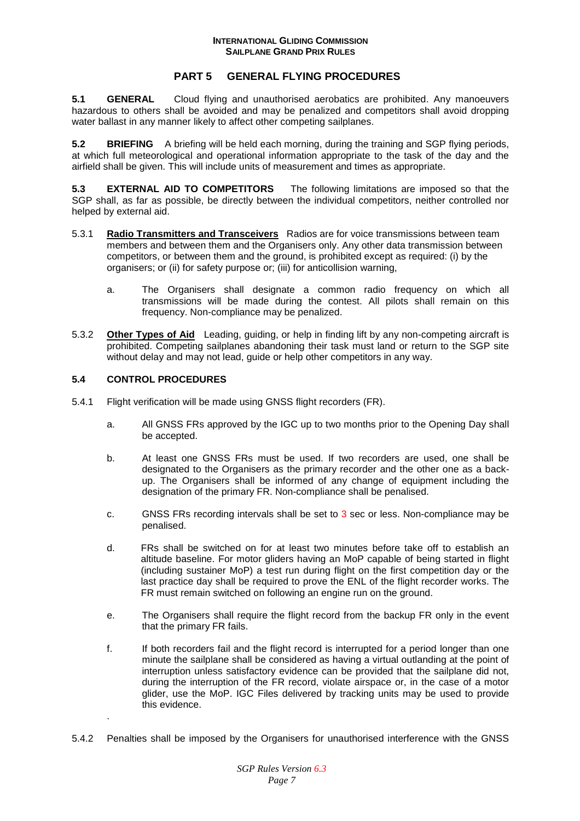# **PART 5 GENERAL FLYING PROCEDURES**

**5.1 GENERAL** Cloud flying and unauthorised aerobatics are prohibited. Any manoeuvers hazardous to others shall be avoided and may be penalized and competitors shall avoid dropping water ballast in any manner likely to affect other competing sailplanes.

**5.2 BRIEFING** A briefing will be held each morning, during the training and SGP flying periods, at which full meteorological and operational information appropriate to the task of the day and the airfield shall be given. This will include units of measurement and times as appropriate.

**5.3 EXTERNAL AID TO COMPETITORS** The following limitations are imposed so that the SGP shall, as far as possible, be directly between the individual competitors, neither controlled nor helped by external aid.

- 5.3.1 **Radio Transmitters and Transceivers** Radios are for voice transmissions between team members and between them and the Organisers only. Any other data transmission between competitors, or between them and the ground, is prohibited except as required: (i) by the organisers; or (ii) for safety purpose or; (iii) for anticollision warning,
	- a. The Organisers shall designate a common radio frequency on which all transmissions will be made during the contest. All pilots shall remain on this frequency. Non-compliance may be penalized.
- 5.3.2 **Other Types of Aid** Leading, guiding, or help in finding lift by any non-competing aircraft is prohibited. Competing sailplanes abandoning their task must land or return to the SGP site without delay and may not lead, guide or help other competitors in any way.

## **5.4 CONTROL PROCEDURES**

- 5.4.1 Flight verification will be made using GNSS flight recorders (FR).
	- a. All GNSS FRs approved by the IGC up to two months prior to the Opening Day shall be accepted.
	- b. At least one GNSS FRs must be used. If two recorders are used, one shall be designated to the Organisers as the primary recorder and the other one as a backup. The Organisers shall be informed of any change of equipment including the designation of the primary FR. Non-compliance shall be penalised.
	- c. GNSS FRs recording intervals shall be set to 3 sec or less. Non-compliance may be penalised.
	- d. FRs shall be switched on for at least two minutes before take off to establish an altitude baseline. For motor gliders having an MoP capable of being started in flight (including sustainer MoP) a test run during flight on the first competition day or the last practice day shall be required to prove the ENL of the flight recorder works. The FR must remain switched on following an engine run on the ground.
	- e. The Organisers shall require the flight record from the backup FR only in the event that the primary FR fails.
	- f. If both recorders fail and the flight record is interrupted for a period longer than one minute the sailplane shall be considered as having a virtual outlanding at the point of interruption unless satisfactory evidence can be provided that the sailplane did not, during the interruption of the FR record, violate airspace or, in the case of a motor glider, use the MoP. IGC Files delivered by tracking units may be used to provide this evidence. .
- 5.4.2 Penalties shall be imposed by the Organisers for unauthorised interference with the GNSS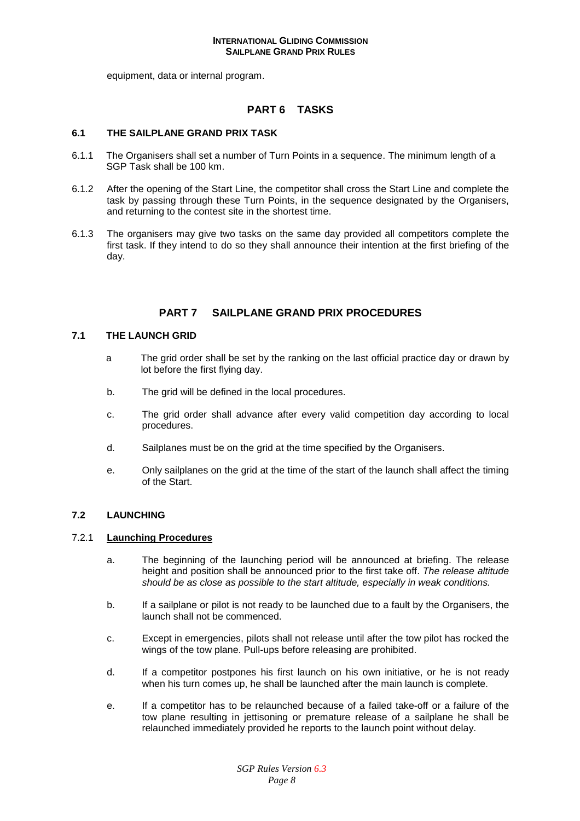equipment, data or internal program.

# **PART 6 TASKS**

#### **6.1 THE SAILPLANE GRAND PRIX TASK**

- 6.1.1 The Organisers shall set a number of Turn Points in a sequence. The minimum length of a SGP Task shall be 100 km.
- 6.1.2 After the opening of the Start Line, the competitor shall cross the Start Line and complete the task by passing through these Turn Points, in the sequence designated by the Organisers, and returning to the contest site in the shortest time.
- 6.1.3 The organisers may give two tasks on the same day provided all competitors complete the first task. If they intend to do so they shall announce their intention at the first briefing of the day.

## **PART 7 SAILPLANE GRAND PRIX PROCEDURES**

#### **7.1 THE LAUNCH GRID**

- aThe grid order shall be set by the ranking on the last official practice day or drawn by lot before the first flying day.
- b. The grid will be defined in the local procedures.
- c. The grid order shall advance after every valid competition day according to local procedures.
- d. Sailplanes must be on the grid at the time specified by the Organisers.
- e. Only sailplanes on the grid at the time of the start of the launch shall affect the timing of the Start.

#### **7.2 LAUNCHING**

## 7.2.1 **Launching Procedures**

- a. The beginning of the launching period will be announced at briefing. The release height and position shall be announced prior to the first take off. The release altitude should be as close as possible to the start altitude, especially in weak conditions.
- b. If a sailplane or pilot is not ready to be launched due to a fault by the Organisers, the launch shall not be commenced.
- c. Except in emergencies, pilots shall not release until after the tow pilot has rocked the wings of the tow plane. Pull-ups before releasing are prohibited.
- d. If a competitor postpones his first launch on his own initiative, or he is not ready when his turn comes up, he shall be launched after the main launch is complete.
- e. If a competitor has to be relaunched because of a failed take-off or a failure of the tow plane resulting in jettisoning or premature release of a sailplane he shall be relaunched immediately provided he reports to the launch point without delay.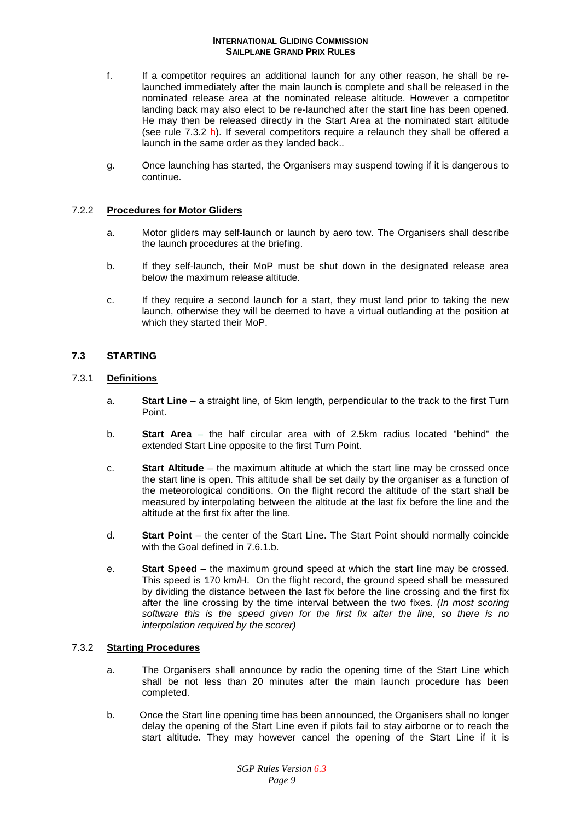- f. If a competitor requires an additional launch for any other reason, he shall be relaunched immediately after the main launch is complete and shall be released in the nominated release area at the nominated release altitude. However a competitor landing back may also elect to be re-launched after the start line has been opened. He may then be released directly in the Start Area at the nominated start altitude (see rule 7.3.2 h). If several competitors require a relaunch they shall be offered a launch in the same order as they landed back..
- g. Once launching has started, the Organisers may suspend towing if it is dangerous to continue.

# 7.2.2 **Procedures for Motor Gliders**

- a. Motor gliders may self-launch or launch by aero tow. The Organisers shall describe the launch procedures at the briefing.
- b. If they self-launch, their MoP must be shut down in the designated release area below the maximum release altitude.
- c. If they require a second launch for a start, they must land prior to taking the new launch, otherwise they will be deemed to have a virtual outlanding at the position at which they started their MoP.

# **7.3 STARTING**

# 7.3.1 **Definitions**

- a. **Start Line** a straight line, of 5km length, perpendicular to the track to the first Turn Point.
- b. **Start Area** the half circular area with of 2.5km radius located "behind" the extended Start Line opposite to the first Turn Point.
- c. **Start Altitude** the maximum altitude at which the start line may be crossed once the start line is open. This altitude shall be set daily by the organiser as a function of the meteorological conditions. On the flight record the altitude of the start shall be measured by interpolating between the altitude at the last fix before the line and the altitude at the first fix after the line.
- d. **Start Point**  the center of the Start Line. The Start Point should normally coincide with the Goal defined in 7.6.1.b.
- e. **Start Speed** the maximum ground speed at which the start line may be crossed. This speed is 170 km/H. On the flight record, the ground speed shall be measured by dividing the distance between the last fix before the line crossing and the first fix after the line crossing by the time interval between the two fixes. (In most scoring software this is the speed given for the first fix after the line, so there is no interpolation required by the scorer)

# 7.3.2 **Starting Procedures**

- a. The Organisers shall announce by radio the opening time of the Start Line which shall be not less than 20 minutes after the main launch procedure has been completed.
- b. Once the Start line opening time has been announced, the Organisers shall no longer delay the opening of the Start Line even if pilots fail to stay airborne or to reach the start altitude. They may however cancel the opening of the Start Line if it is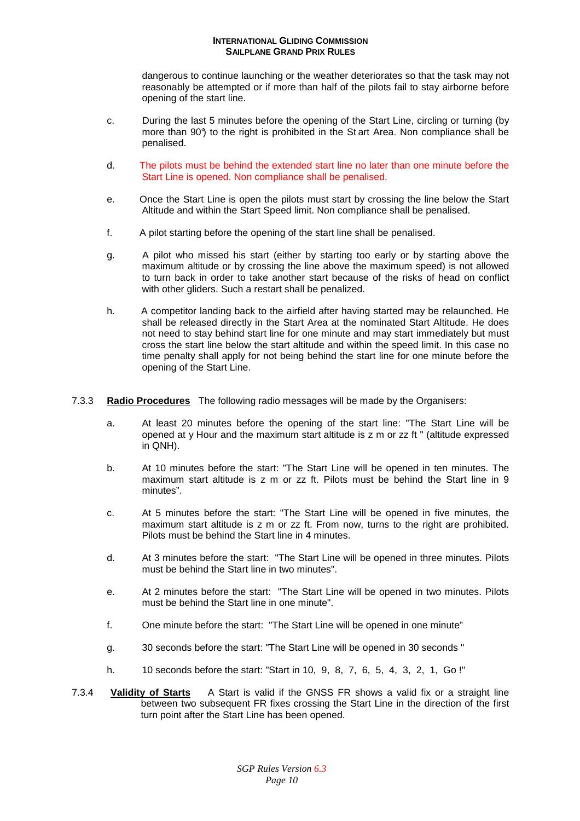dangerous to continue launching or the weather deteriorates so that the task may not reasonably be attempted or if more than half of the pilots fail to stay airborne before opening of the start line.

- c. During the last 5 minutes before the opening of the Start Line, circling or turning (by more than 90°) to the right is prohibited in the St art Area. Non compliance shall be penalised.
- d. The pilots must be behind the extended start line no later than one minute before the Start Line is opened. Non compliance shall be penalised.
- e. Once the Start Line is open the pilots must start by crossing the line below the Start Altitude and within the Start Speed limit. Non compliance shall be penalised.
- f. A pilot starting before the opening of the start line shall be penalised.
- g. A pilot who missed his start (either by starting too early or by starting above the maximum altitude or by crossing the line above the maximum speed) is not allowed to turn back in order to take another start because of the risks of head on conflict with other gliders. Such a restart shall be penalized.
- h. A competitor landing back to the airfield after having started may be relaunched. He shall be released directly in the Start Area at the nominated Start Altitude. He does not need to stay behind start line for one minute and may start immediately but must cross the start line below the start altitude and within the speed limit. In this case no time penalty shall apply for not being behind the start line for one minute before the opening of the Start Line.
- 7.3.3 **Radio Procedures** The following radio messages will be made by the Organisers:
	- a. At least 20 minutes before the opening of the start line: "The Start Line will be opened at y Hour and the maximum start altitude is z m or zz ft " (altitude expressed in QNH).
	- b. At 10 minutes before the start: "The Start Line will be opened in ten minutes. The maximum start altitude is z m or zz ft. Pilots must be behind the Start line in 9 minutes".
	- c. At 5 minutes before the start: "The Start Line will be opened in five minutes, the maximum start altitude is z m or zz ft. From now, turns to the right are prohibited. Pilots must be behind the Start line in 4 minutes.
	- d. At 3 minutes before the start: "The Start Line will be opened in three minutes. Pilots must be behind the Start line in two minutes".
	- e. At 2 minutes before the start: "The Start Line will be opened in two minutes. Pilots must be behind the Start line in one minute".
	- f. One minute before the start: "The Start Line will be opened in one minute"
	- g. 30 seconds before the start: "The Start Line will be opened in 30 seconds "
	- h. 10 seconds before the start: "Start in 10, 9, 8, 7, 6, 5, 4, 3, 2, 1, Go !"
- 7.3.4 **Validity of Starts** A Start is valid if the GNSS FR shows a valid fix or a straight line between two subsequent FR fixes crossing the Start Line in the direction of the first turn point after the Start Line has been opened.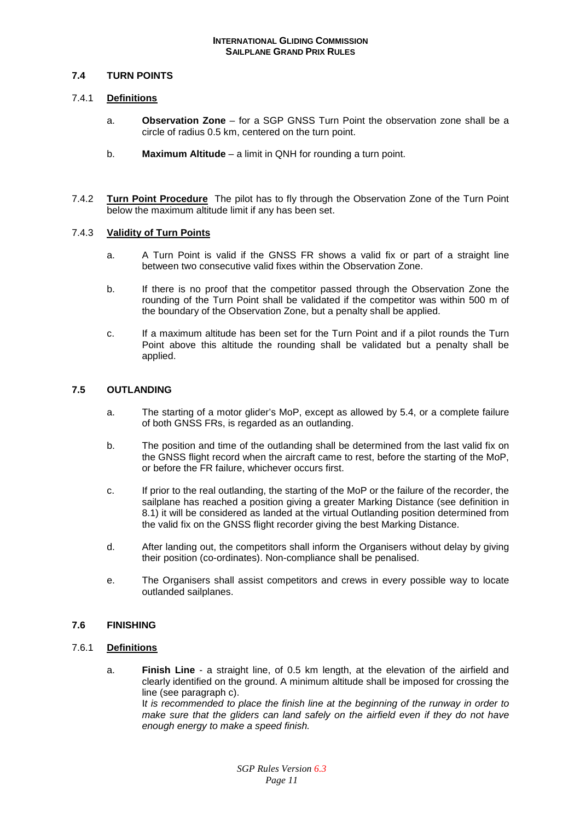## **7.4 TURN POINTS**

#### 7.4.1 **Definitions**

- a. **Observation Zone**  for a SGP GNSS Turn Point the observation zone shall be a circle of radius 0.5 km, centered on the turn point.
- b. **Maximum Altitude** a limit in QNH for rounding a turn point.
- 7.4.2 **Turn Point Procedure** The pilot has to fly through the Observation Zone of the Turn Point below the maximum altitude limit if any has been set.

## 7.4.3 **Validity of Turn Points**

- a. A Turn Point is valid if the GNSS FR shows a valid fix or part of a straight line between two consecutive valid fixes within the Observation Zone.
- b. If there is no proof that the competitor passed through the Observation Zone the rounding of the Turn Point shall be validated if the competitor was within 500 m of the boundary of the Observation Zone, but a penalty shall be applied.
- c. If a maximum altitude has been set for the Turn Point and if a pilot rounds the Turn Point above this altitude the rounding shall be validated but a penalty shall be applied.

# **7.5 OUTLANDING**

- a. The starting of a motor glider's MoP, except as allowed by 5.4, or a complete failure of both GNSS FRs, is regarded as an outlanding.
- b. The position and time of the outlanding shall be determined from the last valid fix on the GNSS flight record when the aircraft came to rest, before the starting of the MoP, or before the FR failure, whichever occurs first.
- c. If prior to the real outlanding, the starting of the MoP or the failure of the recorder, the sailplane has reached a position giving a greater Marking Distance (see definition in 8.1) it will be considered as landed at the virtual Outlanding position determined from the valid fix on the GNSS flight recorder giving the best Marking Distance.
- d. After landing out, the competitors shall inform the Organisers without delay by giving their position (co-ordinates). Non-compliance shall be penalised.
- e. The Organisers shall assist competitors and crews in every possible way to locate outlanded sailplanes.

# **7.6 FINISHING**

## 7.6.1 **Definitions**

a. **Finish Line** - a straight line, of 0.5 km length, at the elevation of the airfield and clearly identified on the ground. A minimum altitude shall be imposed for crossing the line (see paragraph c). It is recommended to place the finish line at the beginning of the runway in order to make sure that the gliders can land safely on the airfield even if they do not have enough energy to make a speed finish.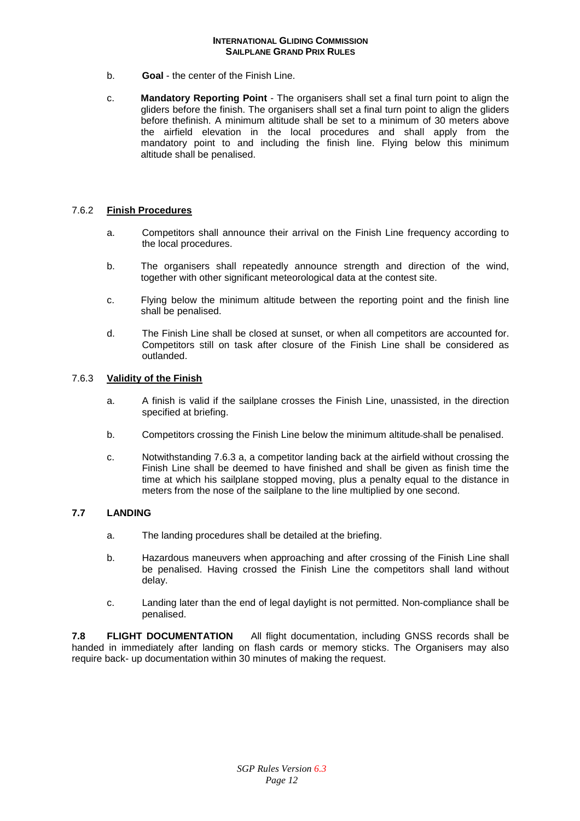- b. **Goal** the center of the Finish Line.
- c. **Mandatory Reporting Point** The organisers shall set a final turn point to align the gliders before the finish. The organisers shall set a final turn point to align the gliders before thefinish. A minimum altitude shall be set to a minimum of 30 meters above the airfield elevation in the local procedures and shall apply from the mandatory point to and including the finish line. Flying below this minimum altitude shall be penalised.

## 7.6.2 **Finish Procedures**

- a. Competitors shall announce their arrival on the Finish Line frequency according to the local procedures.
- b. The organisers shall repeatedly announce strength and direction of the wind, together with other significant meteorological data at the contest site.
- c. Flying below the minimum altitude between the reporting point and the finish line shall be penalised.
- d. The Finish Line shall be closed at sunset, or when all competitors are accounted for. Competitors still on task after closure of the Finish Line shall be considered as outlanded.

## 7.6.3 **Validity of the Finish**

- a. A finish is valid if the sailplane crosses the Finish Line, unassisted, in the direction specified at briefing.
- b. Competitors crossing the Finish Line below the minimum altitude shall be penalised.
- c. Notwithstanding 7.6.3 a, a competitor landing back at the airfield without crossing the Finish Line shall be deemed to have finished and shall be given as finish time the time at which his sailplane stopped moving, plus a penalty equal to the distance in meters from the nose of the sailplane to the line multiplied by one second.

#### **7.7 LANDING**

- a. The landing procedures shall be detailed at the briefing.
- b. Hazardous maneuvers when approaching and after crossing of the Finish Line shall be penalised. Having crossed the Finish Line the competitors shall land without delay.
- c. Landing later than the end of legal daylight is not permitted. Non-compliance shall be penalised.

**7.8 FLIGHT DOCUMENTATION** All flight documentation, including GNSS records shall be handed in immediately after landing on flash cards or memory sticks. The Organisers may also require back- up documentation within 30 minutes of making the request.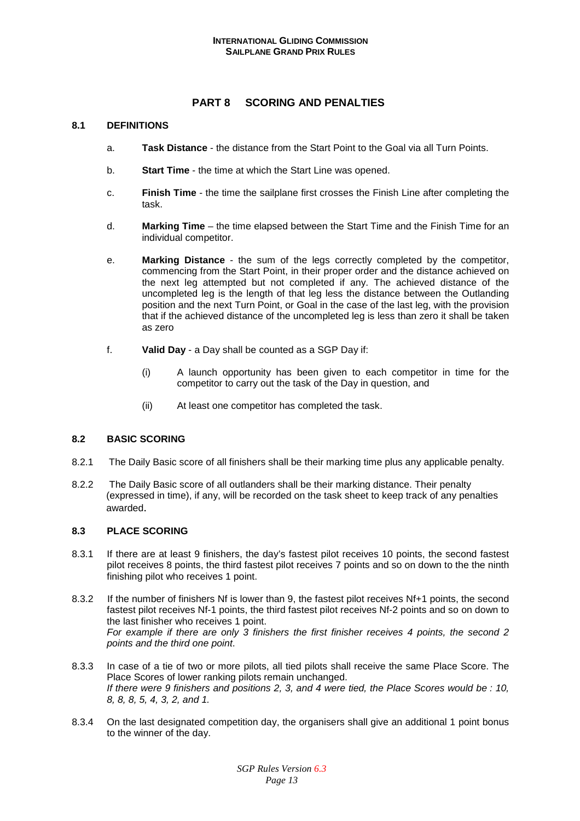# **PART 8 SCORING AND PENALTIES**

# **8.1 DEFINITIONS**

- a. **Task Distance** the distance from the Start Point to the Goal via all Turn Points.
- b. **Start Time** the time at which the Start Line was opened.
- c. **Finish Time** the time the sailplane first crosses the Finish Line after completing the task.
- d. **Marking Time** the time elapsed between the Start Time and the Finish Time for an individual competitor.
- e. **Marking Distance**  the sum of the legs correctly completed by the competitor, commencing from the Start Point, in their proper order and the distance achieved on the next leg attempted but not completed if any. The achieved distance of the uncompleted leg is the length of that leg less the distance between the Outlanding position and the next Turn Point, or Goal in the case of the last leg, with the provision that if the achieved distance of the uncompleted leg is less than zero it shall be taken as zero
- f. **Valid Day** a Day shall be counted as a SGP Day if:
	- (i) A launch opportunity has been given to each competitor in time for the competitor to carry out the task of the Day in question, and
	- (ii) At least one competitor has completed the task.

# **8.2 BASIC SCORING**

- 8.2.1 The Daily Basic score of all finishers shall be their marking time plus any applicable penalty.
- 8.2.2 The Daily Basic score of all outlanders shall be their marking distance. Their penalty (expressed in time), if any, will be recorded on the task sheet to keep track of any penalties awarded.

## **8.3 PLACE SCORING**

- 8.3.1 If there are at least 9 finishers, the day's fastest pilot receives 10 points, the second fastest pilot receives 8 points, the third fastest pilot receives 7 points and so on down to the the ninth finishing pilot who receives 1 point.
- 8.3.2 If the number of finishers Nf is lower than 9, the fastest pilot receives Nf+1 points, the second fastest pilot receives Nf-1 points, the third fastest pilot receives Nf-2 points and so on down to the last finisher who receives 1 point. For example if there are only 3 finishers the first finisher receives 4 points, the second 2 points and the third one point.
- 8.3.3 In case of a tie of two or more pilots, all tied pilots shall receive the same Place Score. The Place Scores of lower ranking pilots remain unchanged. If there were 9 finishers and positions 2, 3, and 4 were tied, the Place Scores would be : 10, 8, 8, 8, 5, 4, 3, 2, and 1.
- 8.3.4 On the last designated competition day, the organisers shall give an additional 1 point bonus to the winner of the day.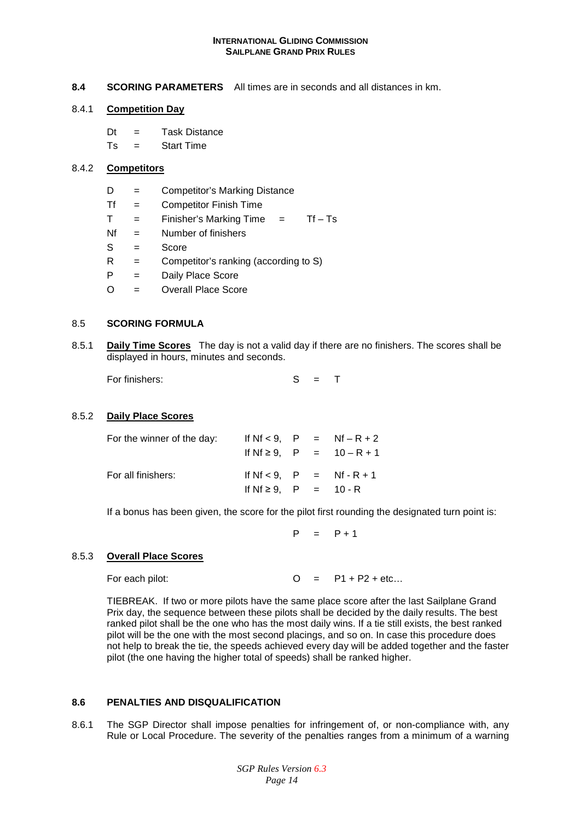**8.4 SCORING PARAMETERS** All times are in seconds and all distances in km.

## 8.4.1 **Competition Day**

Dt = Task Distance  $Ts =$ Start Time

# 8.4.2 **Competitors**

- D = Competitor's Marking Distance
- Tf = Competitor Finish Time
- $T =$  Finisher's Marking Time  $=$  Tf Ts
- $Nf = Number of finishes$
- $S = Socore$
- $R =$  Competitor's ranking (according to S)
- P = Daily Place Score
- O = Overall Place Score

#### 8.5 **SCORING FORMULA**

8.5.1 **Daily Time Scores** The day is not a valid day if there are no finishers. The scores shall be displayed in hours, minutes and seconds.

For finishers: S = T

#### 8.5.2 **Daily Place Scores**

| For the winner of the day: |                              |  | If $Nf < 9$ . $P = Nf - R + 2$ |
|----------------------------|------------------------------|--|--------------------------------|
|                            |                              |  | If Nf $\ge$ 9. P = 10 - R + 1  |
| For all finishers:         |                              |  | If $Nf < 9$ . $P = Nf - R + 1$ |
|                            | If $Nf \ge 9$ , $P = 10 - R$ |  |                                |

If a bonus has been given, the score for the pilot first rounding the designated turn point is:

 $P = P + 1$ 

# 8.5.3 **Overall Place Scores**

For each pilot:  $O = P1 + P2 + etc...$ 

TIEBREAK. If two or more pilots have the same place score after the last Sailplane Grand Prix day, the sequence between these pilots shall be decided by the daily results. The best ranked pilot shall be the one who has the most daily wins. If a tie still exists, the best ranked pilot will be the one with the most second placings, and so on. In case this procedure does not help to break the tie, the speeds achieved every day will be added together and the faster pilot (the one having the higher total of speeds) shall be ranked higher.

# **8.6 PENALTIES AND DISQUALIFICATION**

8.6.1 The SGP Director shall impose penalties for infringement of, or non-compliance with, any Rule or Local Procedure. The severity of the penalties ranges from a minimum of a warning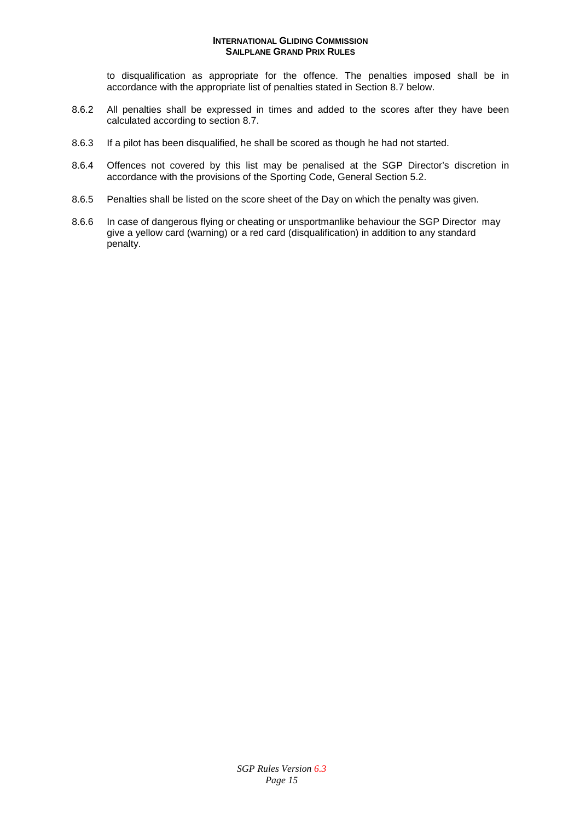to disqualification as appropriate for the offence. The penalties imposed shall be in accordance with the appropriate list of penalties stated in Section 8.7 below.

- 8.6.2 All penalties shall be expressed in times and added to the scores after they have been calculated according to section 8.7.
- 8.6.3 If a pilot has been disqualified, he shall be scored as though he had not started.
- 8.6.4 Offences not covered by this list may be penalised at the SGP Director's discretion in accordance with the provisions of the Sporting Code, General Section 5.2.
- 8.6.5 Penalties shall be listed on the score sheet of the Day on which the penalty was given.
- 8.6.6 In case of dangerous flying or cheating or unsportmanlike behaviour the SGP Director may give a yellow card (warning) or a red card (disqualification) in addition to any standard penalty.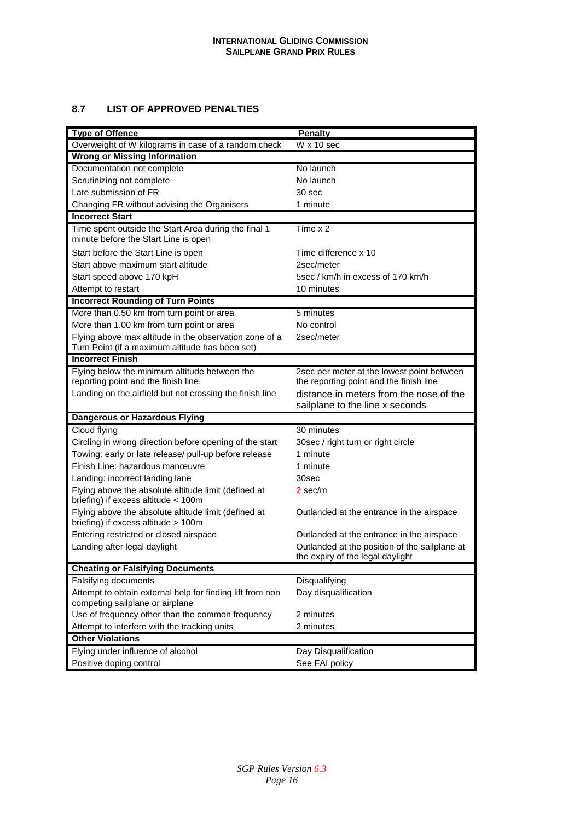# **8.7 LIST OF APPROVED PENALTIES**

| <b>Type of Offence</b>                                                                        | <b>Penalty</b>                                                                        |  |  |  |  |
|-----------------------------------------------------------------------------------------------|---------------------------------------------------------------------------------------|--|--|--|--|
| Overweight of W kilograms in case of a random check                                           | $W \times 10$ sec                                                                     |  |  |  |  |
| <b>Wrong or Missing Information</b>                                                           |                                                                                       |  |  |  |  |
| Documentation not complete                                                                    | No launch                                                                             |  |  |  |  |
| Scrutinizing not complete                                                                     | No launch                                                                             |  |  |  |  |
| Late submission of FR                                                                         | 30 sec                                                                                |  |  |  |  |
| Changing FR without advising the Organisers                                                   | 1 minute                                                                              |  |  |  |  |
| <b>Incorrect Start</b>                                                                        |                                                                                       |  |  |  |  |
| Time spent outside the Start Area during the final 1<br>minute before the Start Line is open  | Time $x$ 2                                                                            |  |  |  |  |
| Start before the Start Line is open                                                           | Time difference x 10                                                                  |  |  |  |  |
| Start above maximum start altitude                                                            | 2sec/meter                                                                            |  |  |  |  |
| Start speed above 170 kpH                                                                     | 5sec / km/h in excess of 170 km/h                                                     |  |  |  |  |
| Attempt to restart                                                                            | 10 minutes                                                                            |  |  |  |  |
| <b>Incorrect Rounding of Turn Points</b>                                                      |                                                                                       |  |  |  |  |
| More than 0.50 km from turn point or area                                                     | 5 minutes                                                                             |  |  |  |  |
| More than 1.00 km from turn point or area                                                     | No control                                                                            |  |  |  |  |
| Flying above max altitude in the observation zone of a                                        | 2sec/meter                                                                            |  |  |  |  |
| Turn Point (if a maximum altitude has been set)                                               |                                                                                       |  |  |  |  |
| <b>Incorrect Finish</b>                                                                       |                                                                                       |  |  |  |  |
| Flying below the minimum altitude between the<br>reporting point and the finish line.         | 2sec per meter at the lowest point between<br>the reporting point and the finish line |  |  |  |  |
| Landing on the airfield but not crossing the finish line                                      | distance in meters from the nose of the                                               |  |  |  |  |
|                                                                                               | sailplane to the line x seconds                                                       |  |  |  |  |
| <b>Dangerous or Hazardous Flying</b>                                                          |                                                                                       |  |  |  |  |
| Cloud flying                                                                                  | 30 minutes                                                                            |  |  |  |  |
| Circling in wrong direction before opening of the start                                       | 30sec / right turn or right circle                                                    |  |  |  |  |
| Towing: early or late release/ pull-up before release                                         | 1 minute                                                                              |  |  |  |  |
| Finish Line: hazardous manœuvre                                                               | 1 minute                                                                              |  |  |  |  |
| Landing: incorrect landing lane                                                               | 30sec                                                                                 |  |  |  |  |
| Flying above the absolute altitude limit (defined at<br>briefing) if excess altitude $<$ 100m | 2 sec/m                                                                               |  |  |  |  |
| Flying above the absolute altitude limit (defined at<br>briefing) if excess altitude > 100m   | Outlanded at the entrance in the airspace                                             |  |  |  |  |
| Entering restricted or closed airspace                                                        | Outlanded at the entrance in the airspace                                             |  |  |  |  |
| Landing after legal daylight                                                                  | Outlanded at the position of the sailplane at<br>the expiry of the legal daylight     |  |  |  |  |
| <b>Cheating or Falsifying Documents</b>                                                       |                                                                                       |  |  |  |  |
| Falsifying documents                                                                          | Disqualifying                                                                         |  |  |  |  |
| Attempt to obtain external help for finding lift from non                                     | Day disqualification                                                                  |  |  |  |  |
| competing sailplane or airplane                                                               |                                                                                       |  |  |  |  |
| Use of frequency other than the common frequency                                              | 2 minutes                                                                             |  |  |  |  |
| Attempt to interfere with the tracking units                                                  | 2 minutes                                                                             |  |  |  |  |
| <b>Other Violations</b>                                                                       |                                                                                       |  |  |  |  |
| Flying under influence of alcohol                                                             | Day Disqualification                                                                  |  |  |  |  |
| Positive doping control                                                                       | See FAI policy                                                                        |  |  |  |  |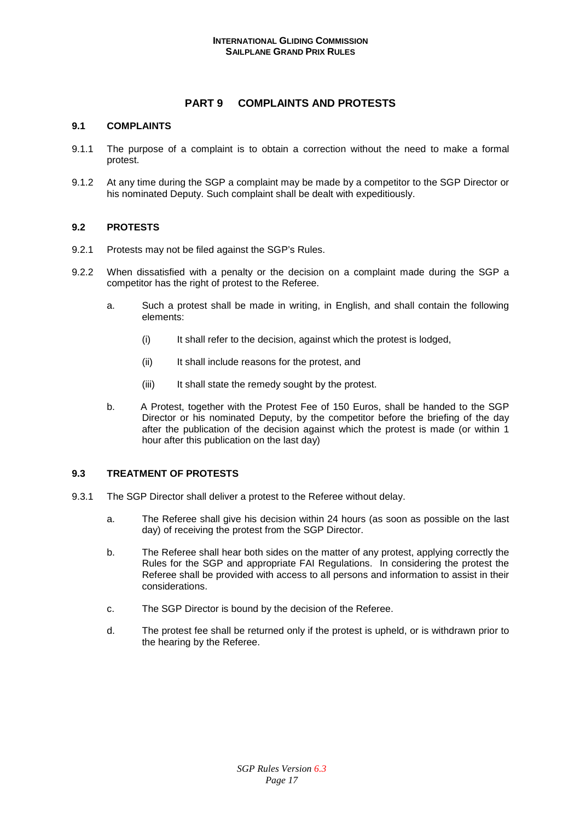# **PART 9 COMPLAINTS AND PROTESTS**

## **9.1 COMPLAINTS**

- 9.1.1 The purpose of a complaint is to obtain a correction without the need to make a formal protest.
- 9.1.2 At any time during the SGP a complaint may be made by a competitor to the SGP Director or his nominated Deputy. Such complaint shall be dealt with expeditiously.

# **9.2 PROTESTS**

- 9.2.1 Protests may not be filed against the SGP's Rules.
- 9.2.2 When dissatisfied with a penalty or the decision on a complaint made during the SGP a competitor has the right of protest to the Referee.
	- a. Such a protest shall be made in writing, in English, and shall contain the following elements:
		- (i) It shall refer to the decision, against which the protest is lodged,
		- (ii) It shall include reasons for the protest, and
		- (iii) It shall state the remedy sought by the protest.
	- b. A Protest, together with the Protest Fee of 150 Euros, shall be handed to the SGP Director or his nominated Deputy, by the competitor before the briefing of the day after the publication of the decision against which the protest is made (or within 1 hour after this publication on the last day)

# **9.3 TREATMENT OF PROTESTS**

- 9.3.1 The SGP Director shall deliver a protest to the Referee without delay.
	- a. The Referee shall give his decision within 24 hours (as soon as possible on the last day) of receiving the protest from the SGP Director.
	- b. The Referee shall hear both sides on the matter of any protest, applying correctly the Rules for the SGP and appropriate FAI Regulations. In considering the protest the Referee shall be provided with access to all persons and information to assist in their considerations.
	- c. The SGP Director is bound by the decision of the Referee.
	- d. The protest fee shall be returned only if the protest is upheld, or is withdrawn prior to the hearing by the Referee.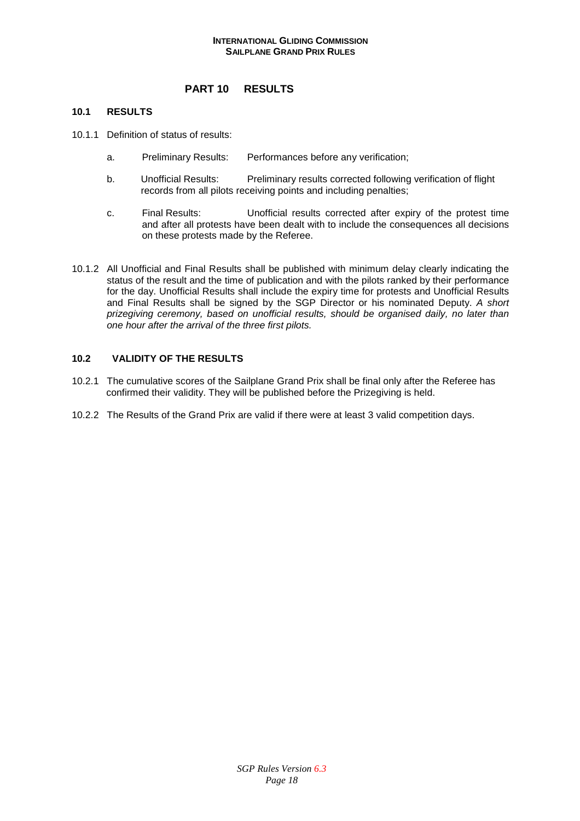# **PART 10 RESULTS**

### **10.1 RESULTS**

- 10.1.1 Definition of status of results:
	- a. Preliminary Results: Performances before any verification;
	- b. Unofficial Results: Preliminary results corrected following verification of flight records from all pilots receiving points and including penalties;
	- c. Final Results: Unofficial results corrected after expiry of the protest time and after all protests have been dealt with to include the consequences all decisions on these protests made by the Referee.
- 10.1.2 All Unofficial and Final Results shall be published with minimum delay clearly indicating the status of the result and the time of publication and with the pilots ranked by their performance for the day. Unofficial Results shall include the expiry time for protests and Unofficial Results and Final Results shall be signed by the SGP Director or his nominated Deputy. A short prizegiving ceremony, based on unofficial results, should be organised daily, no later than one hour after the arrival of the three first pilots.

# **10.2 VALIDITY OF THE RESULTS**

- 10.2.1 The cumulative scores of the Sailplane Grand Prix shall be final only after the Referee has confirmed their validity. They will be published before the Prizegiving is held.
- 10.2.2 The Results of the Grand Prix are valid if there were at least 3 valid competition days.